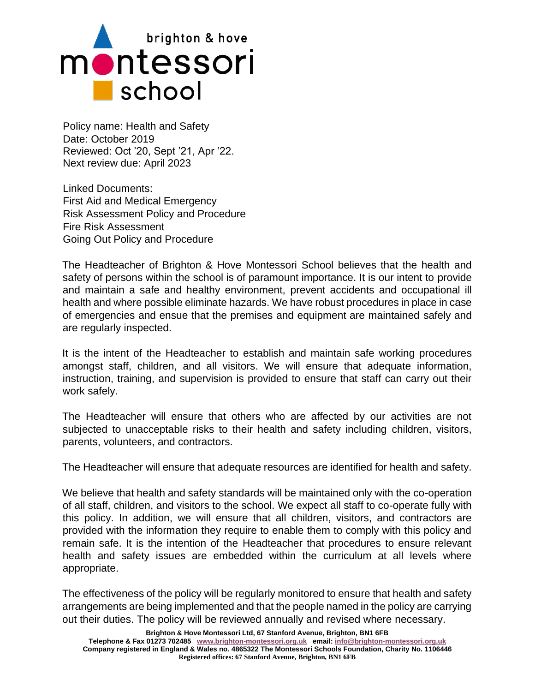

Policy name: Health and Safety Date: October 2019 Reviewed: Oct '20, Sept '21, Apr '22. Next review due: April 2023

Linked Documents: First Aid and Medical Emergency Risk Assessment Policy and Procedure Fire Risk Assessment Going Out Policy and Procedure

The Headteacher of Brighton & Hove Montessori School believes that the health and safety of persons within the school is of paramount importance. It is our intent to provide and maintain a safe and healthy environment, prevent accidents and occupational ill health and where possible eliminate hazards. We have robust procedures in place in case of emergencies and ensue that the premises and equipment are maintained safely and are regularly inspected.

It is the intent of the Headteacher to establish and maintain safe working procedures amongst staff, children, and all visitors. We will ensure that adequate information, instruction, training, and supervision is provided to ensure that staff can carry out their work safely.

The Headteacher will ensure that others who are affected by our activities are not subjected to unacceptable risks to their health and safety including children, visitors, parents, volunteers, and contractors.

The Headteacher will ensure that adequate resources are identified for health and safety.

We believe that health and safety standards will be maintained only with the co-operation of all staff, children, and visitors to the school. We expect all staff to co-operate fully with this policy. In addition, we will ensure that all children, visitors, and contractors are provided with the information they require to enable them to comply with this policy and remain safe. It is the intention of the Headteacher that procedures to ensure relevant health and safety issues are embedded within the curriculum at all levels where appropriate.

The effectiveness of the policy will be regularly monitored to ensure that health and safety arrangements are being implemented and that the people named in the policy are carrying out their duties. The policy will be reviewed annually and revised where necessary.

**Brighton & Hove Montessori Ltd, 67 Stanford Avenue, Brighton, BN1 6FB**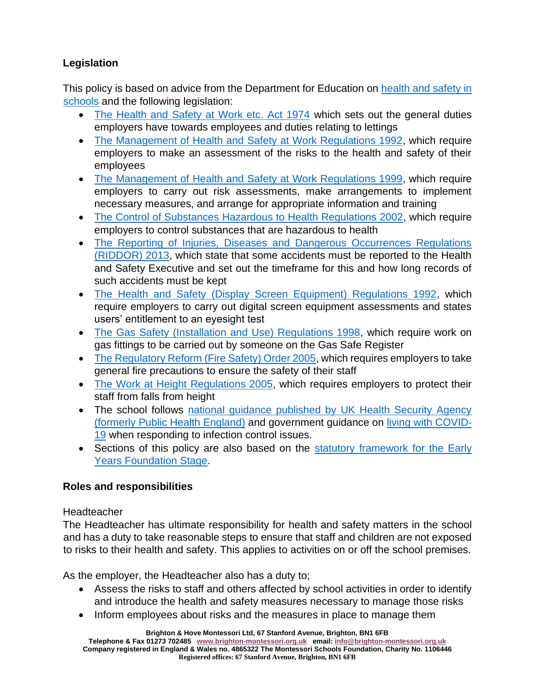# **Legislation**

This policy is based on advice from the Department for Education on [health and safety in](https://www.gov.uk/government/publications/health-and-safety-advice-for-schools)  [schools](https://www.gov.uk/government/publications/health-and-safety-advice-for-schools) and the following legislation:

- [The Health and Safety at Work etc. Act 1974](https://www.legislation.gov.uk/ukpga/1974/37) which sets out the general duties employers have towards employees and duties relating to lettings
- [The Management of Health and Safety at Work Regulations 1992,](https://www.legislation.gov.uk/uksi/1992/2051/regulation/3/made) which require employers to make an assessment of the risks to the health and safety of their employees
- [The Management of Health and Safety at Work Regulations 1999,](https://www.legislation.gov.uk/uksi/1999/3242/contents/made) which require employers to carry out risk assessments, make arrangements to implement necessary measures, and arrange for appropriate information and training
- [The Control of Substances Hazardous to Health Regulations 2002,](https://www.legislation.gov.uk/uksi/2002/2677/contents/made) which require employers to control substances that are hazardous to health
- [The Reporting of Injuries, Diseases and Dangerous Occurrences Regulations](https://www.legislation.gov.uk/uksi/2013/1471/schedule/1/paragraph/1/made)  [\(RIDDOR\) 2013,](https://www.legislation.gov.uk/uksi/2013/1471/schedule/1/paragraph/1/made) which state that some accidents must be reported to the Health and Safety Executive and set out the timeframe for this and how long records of such accidents must be kept
- [The Health and Safety \(Display Screen Equipment\) Regulations 1992,](https://www.legislation.gov.uk/uksi/1992/2792/contents/made) which require employers to carry out digital screen equipment assessments and states users' entitlement to an eyesight test
- [The Gas Safety \(Installation and Use\) Regulations 1998,](https://www.legislation.gov.uk/uksi/1998/2451/regulation/4/made) which require work on gas fittings to be carried out by someone on the Gas Safe Register
- [The Regulatory Reform \(Fire Safety\) Order 2005,](https://www.legislation.gov.uk/uksi/2005/1541/part/2/made) which requires employers to take general fire precautions to ensure the safety of their staff
- [The Work at Height Regulations 2005,](https://www.legislation.gov.uk/uksi/2005/735/contents/made) which requires employers to protect their staff from falls from height
- The school follows [national guidance published by UK Health Security Agency](https://www.gov.uk/government/publications/health-protection-in-schools-and-other-childcare-facilities)  [\(formerly Public Health England\)](https://www.gov.uk/government/publications/health-protection-in-schools-and-other-childcare-facilities) and government guidance on [living with COVID-](https://www.gov.uk/government/publications/covid-19-response-living-with-covid-19)[19](https://www.gov.uk/government/publications/covid-19-response-living-with-covid-19) when responding to infection control issues.
- Sections of this policy are also based on the statutory framework for the Early [Years Foundation Stage.](https://www.gov.uk/government/publications/early-years-foundation-stage-framework--2)

# **Roles and responsibilities**

## **Headteacher**

The Headteacher has ultimate responsibility for health and safety matters in the school and has a duty to take reasonable steps to ensure that staff and children are not exposed to risks to their health and safety. This applies to activities on or off the school premises.

As the employer, the Headteacher also has a duty to;

- Assess the risks to staff and others affected by school activities in order to identify and introduce the health and safety measures necessary to manage those risks
- Inform employees about risks and the measures in place to manage them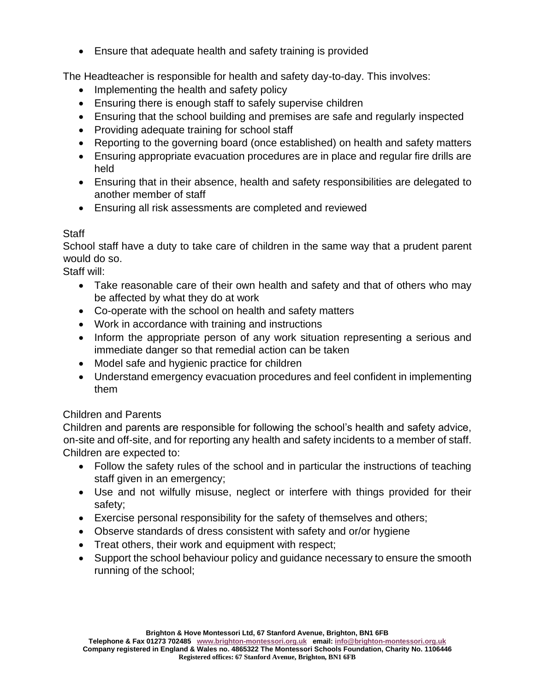• Ensure that adequate health and safety training is provided

The Headteacher is responsible for health and safety day-to-day. This involves:

- Implementing the health and safety policy
- Ensuring there is enough staff to safely supervise children
- Ensuring that the school building and premises are safe and regularly inspected
- Providing adequate training for school staff
- Reporting to the governing board (once established) on health and safety matters
- Ensuring appropriate evacuation procedures are in place and regular fire drills are held
- Ensuring that in their absence, health and safety responsibilities are delegated to another member of staff
- Ensuring all risk assessments are completed and reviewed

### **Staff**

School staff have a duty to take care of children in the same way that a prudent parent would do so.

Staff will:

- Take reasonable care of their own health and safety and that of others who may be affected by what they do at work
- Co-operate with the school on health and safety matters
- Work in accordance with training and instructions
- Inform the appropriate person of any work situation representing a serious and immediate danger so that remedial action can be taken
- Model safe and hygienic practice for children
- Understand emergency evacuation procedures and feel confident in implementing them

## Children and Parents

Children and parents are responsible for following the school's health and safety advice, on-site and off-site, and for reporting any health and safety incidents to a member of staff. Children are expected to:

- Follow the safety rules of the school and in particular the instructions of teaching staff given in an emergency;
- Use and not wilfully misuse, neglect or interfere with things provided for their safety;
- Exercise personal responsibility for the safety of themselves and others;
- Observe standards of dress consistent with safety and or/or hygiene
- Treat others, their work and equipment with respect;
- Support the school behaviour policy and quidance necessary to ensure the smooth running of the school;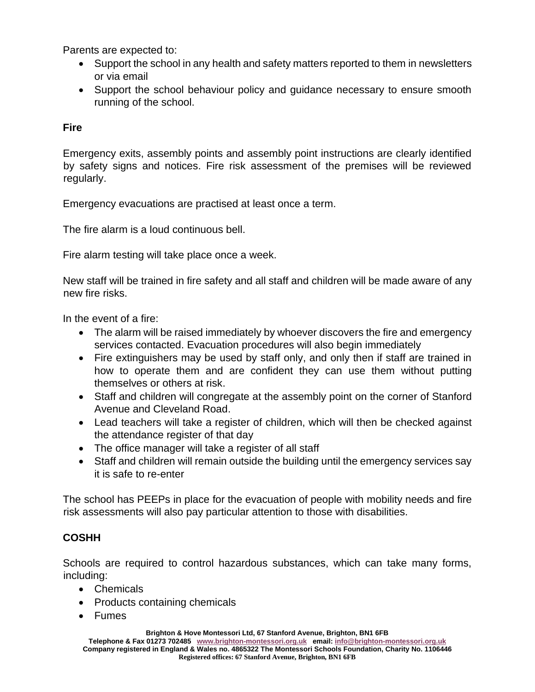Parents are expected to:

- Support the school in any health and safety matters reported to them in newsletters or via email
- Support the school behaviour policy and guidance necessary to ensure smooth running of the school.

### **Fire**

Emergency exits, assembly points and assembly point instructions are clearly identified by safety signs and notices. Fire risk assessment of the premises will be reviewed regularly.

Emergency evacuations are practised at least once a term.

The fire alarm is a loud continuous bell.

Fire alarm testing will take place once a week.

New staff will be trained in fire safety and all staff and children will be made aware of any new fire risks.

In the event of a fire:

- The alarm will be raised immediately by whoever discovers the fire and emergency services contacted. Evacuation procedures will also begin immediately
- Fire extinguishers may be used by staff only, and only then if staff are trained in how to operate them and are confident they can use them without putting themselves or others at risk.
- Staff and children will congregate at the assembly point on the corner of Stanford Avenue and Cleveland Road.
- Lead teachers will take a register of children, which will then be checked against the attendance register of that day
- The office manager will take a register of all staff
- Staff and children will remain outside the building until the emergency services say it is safe to re-enter

The school has PEEPs in place for the evacuation of people with mobility needs and fire risk assessments will also pay particular attention to those with disabilities.

#### **COSHH**

Schools are required to control hazardous substances, which can take many forms, including:

- Chemicals
- Products containing chemicals
- Fumes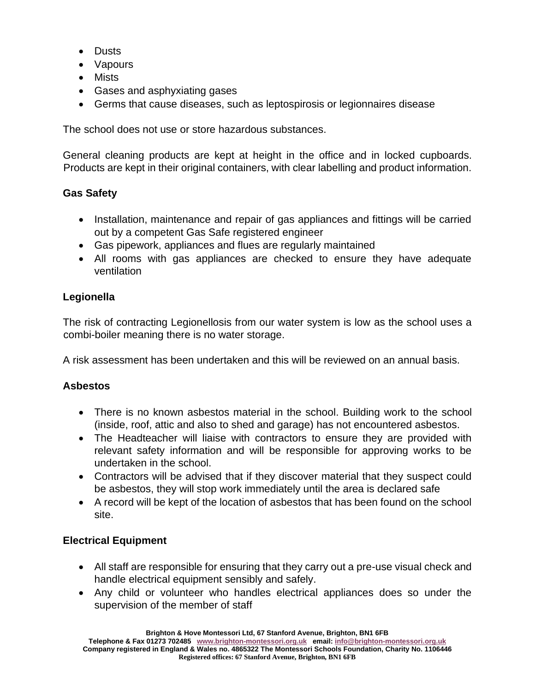- Dusts
- Vapours
- Mists
- Gases and asphyxiating gases
- Germs that cause diseases, such as leptospirosis or legionnaires disease

The school does not use or store hazardous substances.

General cleaning products are kept at height in the office and in locked cupboards. Products are kept in their original containers, with clear labelling and product information.

### **Gas Safety**

- Installation, maintenance and repair of gas appliances and fittings will be carried out by a competent Gas Safe registered engineer
- Gas pipework, appliances and flues are regularly maintained
- All rooms with gas appliances are checked to ensure they have adequate ventilation

### **Legionella**

The risk of contracting Legionellosis from our water system is low as the school uses a combi-boiler meaning there is no water storage.

A risk assessment has been undertaken and this will be reviewed on an annual basis.

#### **Asbestos**

- There is no known asbestos material in the school. Building work to the school (inside, roof, attic and also to shed and garage) has not encountered asbestos.
- The Headteacher will liaise with contractors to ensure they are provided with relevant safety information and will be responsible for approving works to be undertaken in the school.
- Contractors will be advised that if they discover material that they suspect could be asbestos, they will stop work immediately until the area is declared safe
- A record will be kept of the location of asbestos that has been found on the school site.

## **Electrical Equipment**

- All staff are responsible for ensuring that they carry out a pre-use visual check and handle electrical equipment sensibly and safely.
- Any child or volunteer who handles electrical appliances does so under the supervision of the member of staff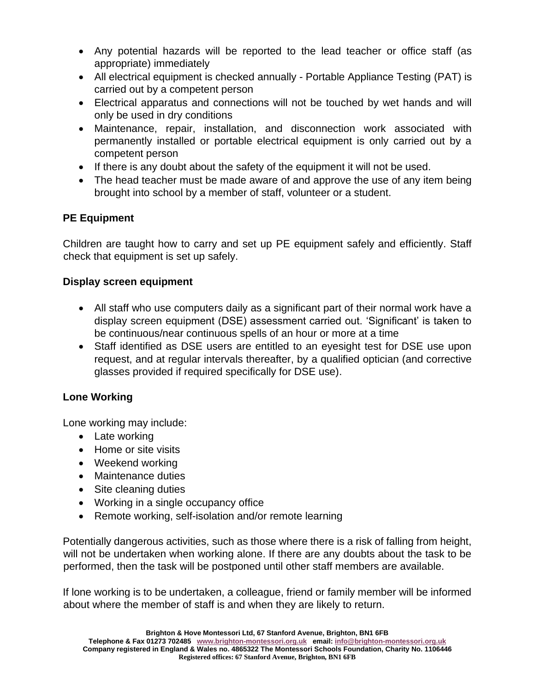- Any potential hazards will be reported to the lead teacher or office staff (as appropriate) immediately
- All electrical equipment is checked annually Portable Appliance Testing (PAT) is carried out by a competent person
- Electrical apparatus and connections will not be touched by wet hands and will only be used in dry conditions
- Maintenance, repair, installation, and disconnection work associated with permanently installed or portable electrical equipment is only carried out by a competent person
- If there is any doubt about the safety of the equipment it will not be used.
- The head teacher must be made aware of and approve the use of any item being brought into school by a member of staff, volunteer or a student.

# **PE Equipment**

Children are taught how to carry and set up PE equipment safely and efficiently. Staff check that equipment is set up safely.

## **Display screen equipment**

- All staff who use computers daily as a significant part of their normal work have a display screen equipment (DSE) assessment carried out. 'Significant' is taken to be continuous/near continuous spells of an hour or more at a time
- Staff identified as DSE users are entitled to an eyesight test for DSE use upon request, and at regular intervals thereafter, by a qualified optician (and corrective glasses provided if required specifically for DSE use).

# **Lone Working**

Lone working may include:

- Late working
- Home or site visits
- Weekend working
- Maintenance duties
- Site cleaning duties
- Working in a single occupancy office
- Remote working, self-isolation and/or remote learning

Potentially dangerous activities, such as those where there is a risk of falling from height, will not be undertaken when working alone. If there are any doubts about the task to be performed, then the task will be postponed until other staff members are available.

If lone working is to be undertaken, a colleague, friend or family member will be informed about where the member of staff is and when they are likely to return.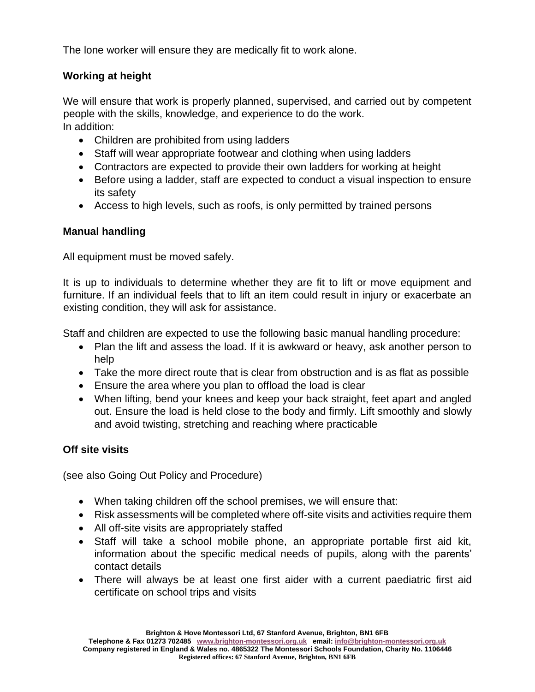The lone worker will ensure they are medically fit to work alone.

## **Working at height**

We will ensure that work is properly planned, supervised, and carried out by competent people with the skills, knowledge, and experience to do the work. In addition:

- Children are prohibited from using ladders
- Staff will wear appropriate footwear and clothing when using ladders
- Contractors are expected to provide their own ladders for working at height
- Before using a ladder, staff are expected to conduct a visual inspection to ensure its safety
- Access to high levels, such as roofs, is only permitted by trained persons

## **Manual handling**

All equipment must be moved safely.

It is up to individuals to determine whether they are fit to lift or move equipment and furniture. If an individual feels that to lift an item could result in injury or exacerbate an existing condition, they will ask for assistance.

Staff and children are expected to use the following basic manual handling procedure:

- Plan the lift and assess the load. If it is awkward or heavy, ask another person to help
- Take the more direct route that is clear from obstruction and is as flat as possible
- Ensure the area where you plan to offload the load is clear
- When lifting, bend your knees and keep your back straight, feet apart and angled out. Ensure the load is held close to the body and firmly. Lift smoothly and slowly and avoid twisting, stretching and reaching where practicable

# **Off site visits**

(see also Going Out Policy and Procedure)

- When taking children off the school premises, we will ensure that:
- Risk assessments will be completed where off-site visits and activities require them
- All off-site visits are appropriately staffed
- Staff will take a school mobile phone, an appropriate portable first aid kit, information about the specific medical needs of pupils, along with the parents' contact details
- There will always be at least one first aider with a current paediatric first aid certificate on school trips and visits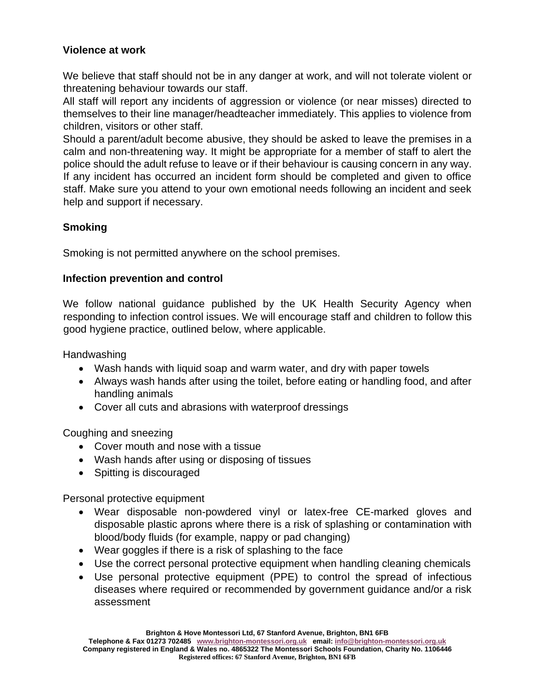## **Violence at work**

We believe that staff should not be in any danger at work, and will not tolerate violent or threatening behaviour towards our staff.

All staff will report any incidents of aggression or violence (or near misses) directed to themselves to their line manager/headteacher immediately. This applies to violence from children, visitors or other staff.

Should a parent/adult become abusive, they should be asked to leave the premises in a calm and non-threatening way. It might be appropriate for a member of staff to alert the police should the adult refuse to leave or if their behaviour is causing concern in any way. If any incident has occurred an incident form should be completed and given to office staff. Make sure you attend to your own emotional needs following an incident and seek help and support if necessary.

## **Smoking**

Smoking is not permitted anywhere on the school premises.

## **Infection prevention and control**

We follow national guidance published by the UK Health Security Agency when responding to infection control issues. We will encourage staff and children to follow this good hygiene practice, outlined below, where applicable.

**Handwashing** 

- Wash hands with liquid soap and warm water, and dry with paper towels
- Always wash hands after using the toilet, before eating or handling food, and after handling animals
- Cover all cuts and abrasions with waterproof dressings

Coughing and sneezing

- Cover mouth and nose with a tissue
- Wash hands after using or disposing of tissues
- Spitting is discouraged

Personal protective equipment

- Wear disposable non-powdered vinyl or latex-free CE-marked gloves and disposable plastic aprons where there is a risk of splashing or contamination with blood/body fluids (for example, nappy or pad changing)
- Wear goggles if there is a risk of splashing to the face
- Use the correct personal protective equipment when handling cleaning chemicals
- Use personal protective equipment (PPE) to control the spread of infectious diseases where required or recommended by government guidance and/or a risk assessment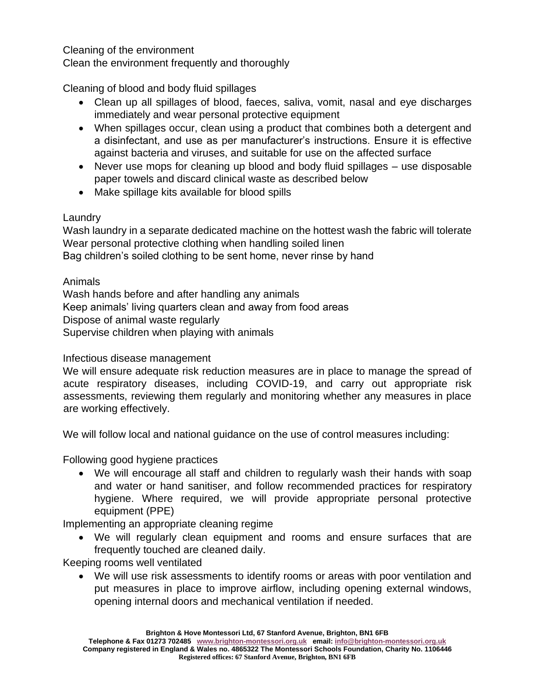Cleaning of the environment

Clean the environment frequently and thoroughly

Cleaning of blood and body fluid spillages

- Clean up all spillages of blood, faeces, saliva, vomit, nasal and eye discharges immediately and wear personal protective equipment
- When spillages occur, clean using a product that combines both a detergent and a disinfectant, and use as per manufacturer's instructions. Ensure it is effective against bacteria and viruses, and suitable for use on the affected surface
- Never use mops for cleaning up blood and body fluid spillages use disposable paper towels and discard clinical waste as described below
- Make spillage kits available for blood spills

## Laundry

Wash laundry in a separate dedicated machine on the hottest wash the fabric will tolerate Wear personal protective clothing when handling soiled linen Bag children's soiled clothing to be sent home, never rinse by hand

Animals

Wash hands before and after handling any animals Keep animals' living quarters clean and away from food areas Dispose of animal waste regularly Supervise children when playing with animals

## Infectious disease management

We will ensure adequate risk reduction measures are in place to manage the spread of acute respiratory diseases, including COVID-19, and carry out appropriate risk assessments, reviewing them regularly and monitoring whether any measures in place are working effectively.

We will follow local and national guidance on the use of control measures including:

Following good hygiene practices

• We will encourage all staff and children to regularly wash their hands with soap and water or hand sanitiser, and follow recommended practices for respiratory hygiene. Where required, we will provide appropriate personal protective equipment (PPE)

Implementing an appropriate cleaning regime

• We will regularly clean equipment and rooms and ensure surfaces that are frequently touched are cleaned daily.

Keeping rooms well ventilated

• We will use risk assessments to identify rooms or areas with poor ventilation and put measures in place to improve airflow, including opening external windows, opening internal doors and mechanical ventilation if needed.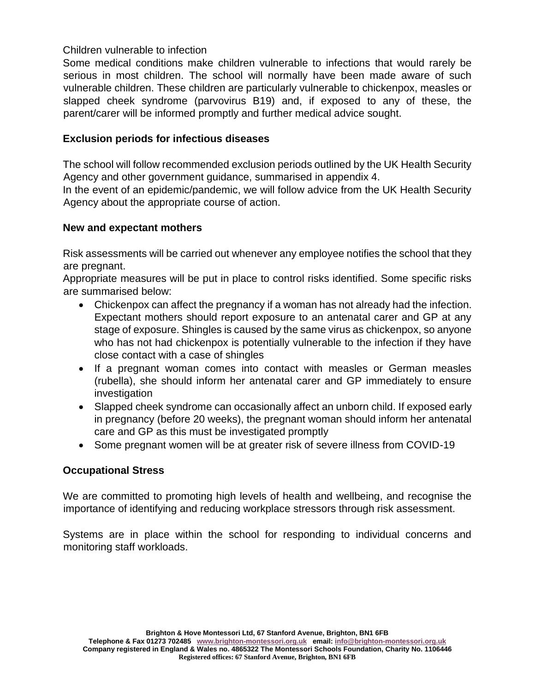### Children vulnerable to infection

Some medical conditions make children vulnerable to infections that would rarely be serious in most children. The school will normally have been made aware of such vulnerable children. These children are particularly vulnerable to chickenpox, measles or slapped cheek syndrome (parvovirus B19) and, if exposed to any of these, the parent/carer will be informed promptly and further medical advice sought.

### **Exclusion periods for infectious diseases**

The school will follow recommended exclusion periods outlined by the UK Health Security Agency and other government guidance, summarised in appendix 4.

In the event of an epidemic/pandemic, we will follow advice from the UK Health Security Agency about the appropriate course of action.

### **New and expectant mothers**

Risk assessments will be carried out whenever any employee notifies the school that they are pregnant.

Appropriate measures will be put in place to control risks identified. Some specific risks are summarised below:

- Chickenpox can affect the pregnancy if a woman has not already had the infection. Expectant mothers should report exposure to an antenatal carer and GP at any stage of exposure. Shingles is caused by the same virus as chickenpox, so anyone who has not had chickenpox is potentially vulnerable to the infection if they have close contact with a case of shingles
- If a pregnant woman comes into contact with measles or German measles (rubella), she should inform her antenatal carer and GP immediately to ensure investigation
- Slapped cheek syndrome can occasionally affect an unborn child. If exposed early in pregnancy (before 20 weeks), the pregnant woman should inform her antenatal care and GP as this must be investigated promptly
- Some pregnant women will be at greater risk of severe illness from COVID-19

#### **Occupational Stress**

We are committed to promoting high levels of health and wellbeing, and recognise the importance of identifying and reducing workplace stressors through risk assessment.

Systems are in place within the school for responding to individual concerns and monitoring staff workloads.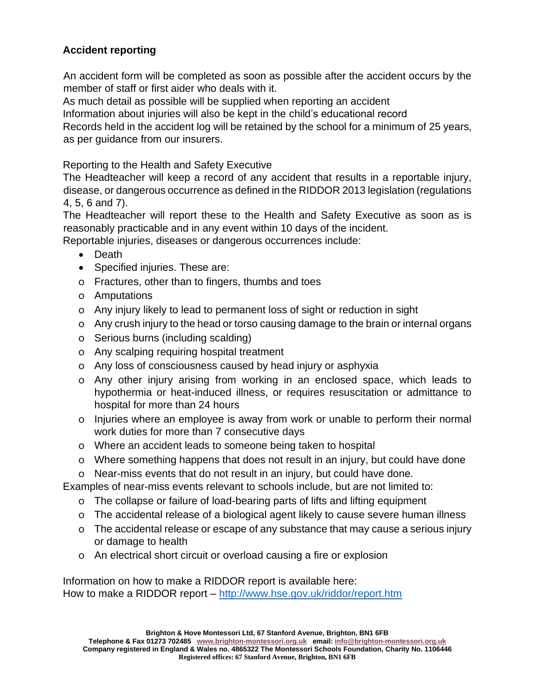# **Accident reporting**

An accident form will be completed as soon as possible after the accident occurs by the member of staff or first aider who deals with it.

As much detail as possible will be supplied when reporting an accident

Information about injuries will also be kept in the child's educational record

Records held in the accident log will be retained by the school for a minimum of 25 years, as per guidance from our insurers.

Reporting to the Health and Safety Executive

The Headteacher will keep a record of any accident that results in a reportable injury, disease, or dangerous occurrence as defined in the RIDDOR 2013 legislation (regulations 4, 5, 6 and 7).

The Headteacher will report these to the Health and Safety Executive as soon as is reasonably practicable and in any event within 10 days of the incident.

Reportable injuries, diseases or dangerous occurrences include:

- Death
- Specified injuries. These are:
- o Fractures, other than to fingers, thumbs and toes
- o Amputations
- o Any injury likely to lead to permanent loss of sight or reduction in sight
- o Any crush injury to the head or torso causing damage to the brain or internal organs
- o Serious burns (including scalding)
- o Any scalping requiring hospital treatment
- o Any loss of consciousness caused by head injury or asphyxia
- o Any other injury arising from working in an enclosed space, which leads to hypothermia or heat-induced illness, or requires resuscitation or admittance to hospital for more than 24 hours
- o Injuries where an employee is away from work or unable to perform their normal work duties for more than 7 consecutive days
- o Where an accident leads to someone being taken to hospital
- o Where something happens that does not result in an injury, but could have done

o Near-miss events that do not result in an injury, but could have done.

Examples of near-miss events relevant to schools include, but are not limited to:

- o The collapse or failure of load-bearing parts of lifts and lifting equipment
- o The accidental release of a biological agent likely to cause severe human illness
- o The accidental release or escape of any substance that may cause a serious injury or damage to health
- o An electrical short circuit or overload causing a fire or explosion

Information on how to make a RIDDOR report is available here: How to make a RIDDOR report – <http://www.hse.gov.uk/riddor/report.htm>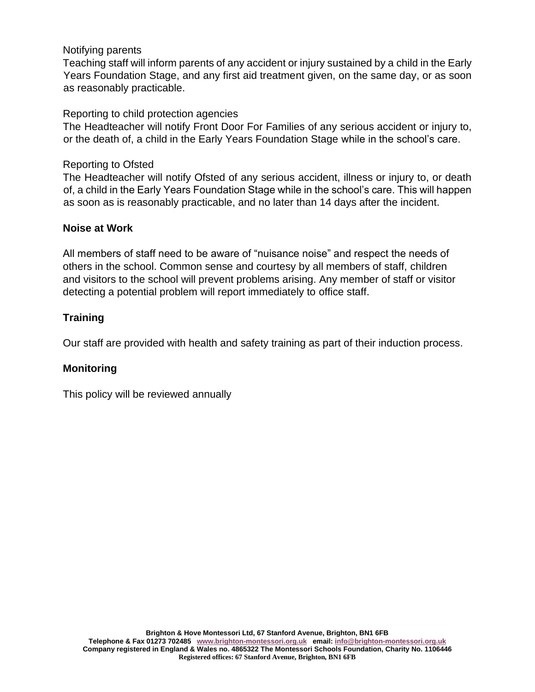### Notifying parents

Teaching staff will inform parents of any accident or injury sustained by a child in the Early Years Foundation Stage, and any first aid treatment given, on the same day, or as soon as reasonably practicable.

#### Reporting to child protection agencies

The Headteacher will notify Front Door For Families of any serious accident or injury to, or the death of, a child in the Early Years Foundation Stage while in the school's care.

### Reporting to Ofsted

The Headteacher will notify Ofsted of any serious accident, illness or injury to, or death of, a child in the Early Years Foundation Stage while in the school's care. This will happen as soon as is reasonably practicable, and no later than 14 days after the incident.

### **Noise at Work**

All members of staff need to be aware of "nuisance noise" and respect the needs of others in the school. Common sense and courtesy by all members of staff, children and visitors to the school will prevent problems arising. Any member of staff or visitor detecting a potential problem will report immediately to office staff.

## **Training**

Our staff are provided with health and safety training as part of their induction process.

## **Monitoring**

This policy will be reviewed annually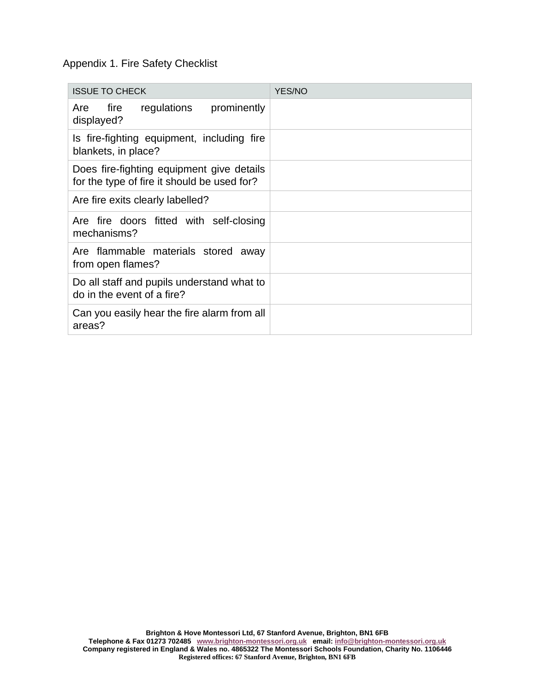### Appendix 1. Fire Safety Checklist

| <b>ISSUE TO CHECK</b>                                                                    | YES/NO |
|------------------------------------------------------------------------------------------|--------|
| regulations<br>prominently<br>Are<br>fire<br>displayed?                                  |        |
| Is fire-fighting equipment, including fire<br>blankets, in place?                        |        |
| Does fire-fighting equipment give details<br>for the type of fire it should be used for? |        |
| Are fire exits clearly labelled?                                                         |        |
| Are fire doors fitted with self-closing<br>mechanisms?                                   |        |
| Are flammable materials stored away<br>from open flames?                                 |        |
| Do all staff and pupils understand what to<br>do in the event of a fire?                 |        |
| Can you easily hear the fire alarm from all<br>areas?                                    |        |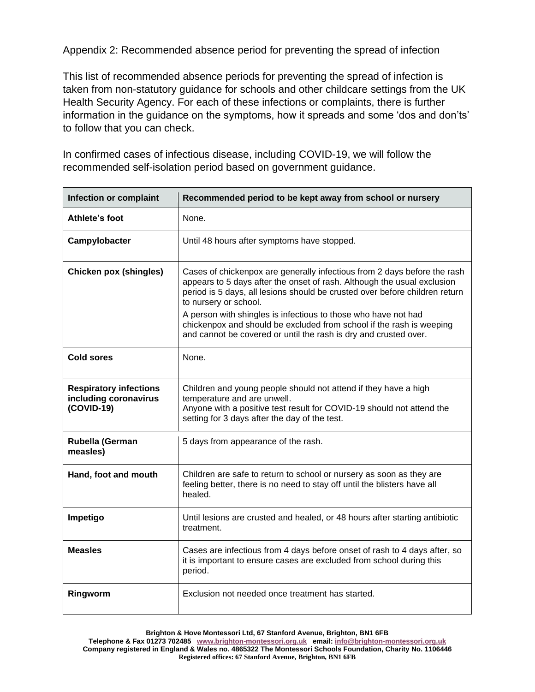Appendix 2: Recommended absence period for preventing the spread of infection

This list of recommended absence periods for preventing the spread of infection is taken from non-statutory guidance for schools and other childcare settings from the UK Health Security Agency. For each of these infections or complaints, there is further information in the guidance on the symptoms, how it spreads and some 'dos and don'ts' to follow that you can check.

In confirmed cases of infectious disease, including COVID-19, we will follow the recommended self-isolation period based on government guidance.

| <b>Infection or complaint</b>                                        | Recommended period to be kept away from school or nursery                                                                                                                                                                                                                                                                                                                                                                                                                 |
|----------------------------------------------------------------------|---------------------------------------------------------------------------------------------------------------------------------------------------------------------------------------------------------------------------------------------------------------------------------------------------------------------------------------------------------------------------------------------------------------------------------------------------------------------------|
| Athlete's foot                                                       | None.                                                                                                                                                                                                                                                                                                                                                                                                                                                                     |
| Campylobacter                                                        | Until 48 hours after symptoms have stopped.                                                                                                                                                                                                                                                                                                                                                                                                                               |
| <b>Chicken pox (shingles)</b>                                        | Cases of chickenpox are generally infectious from 2 days before the rash<br>appears to 5 days after the onset of rash. Although the usual exclusion<br>period is 5 days, all lesions should be crusted over before children return<br>to nursery or school.<br>A person with shingles is infectious to those who have not had<br>chickenpox and should be excluded from school if the rash is weeping<br>and cannot be covered or until the rash is dry and crusted over. |
| <b>Cold sores</b>                                                    | None.                                                                                                                                                                                                                                                                                                                                                                                                                                                                     |
| <b>Respiratory infections</b><br>including coronavirus<br>(COVID-19) | Children and young people should not attend if they have a high<br>temperature and are unwell.<br>Anyone with a positive test result for COVID-19 should not attend the<br>setting for 3 days after the day of the test.                                                                                                                                                                                                                                                  |
| Rubella (German<br>measles)                                          | 5 days from appearance of the rash.                                                                                                                                                                                                                                                                                                                                                                                                                                       |
| Hand, foot and mouth                                                 | Children are safe to return to school or nursery as soon as they are<br>feeling better, there is no need to stay off until the blisters have all<br>healed.                                                                                                                                                                                                                                                                                                               |
| Impetigo                                                             | Until lesions are crusted and healed, or 48 hours after starting antibiotic<br>treatment.                                                                                                                                                                                                                                                                                                                                                                                 |
| <b>Measles</b>                                                       | Cases are infectious from 4 days before onset of rash to 4 days after, so<br>it is important to ensure cases are excluded from school during this<br>period.                                                                                                                                                                                                                                                                                                              |
| Ringworm                                                             | Exclusion not needed once treatment has started.                                                                                                                                                                                                                                                                                                                                                                                                                          |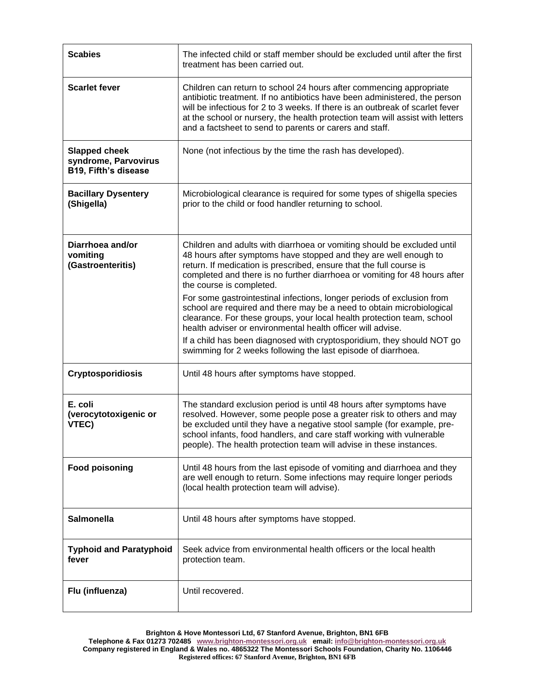| <b>Scabies</b>                                                       | The infected child or staff member should be excluded until after the first<br>treatment has been carried out.                                                                                                                                                                                                                                                                 |
|----------------------------------------------------------------------|--------------------------------------------------------------------------------------------------------------------------------------------------------------------------------------------------------------------------------------------------------------------------------------------------------------------------------------------------------------------------------|
| <b>Scarlet fever</b>                                                 | Children can return to school 24 hours after commencing appropriate<br>antibiotic treatment. If no antibiotics have been administered, the person<br>will be infectious for 2 to 3 weeks. If there is an outbreak of scarlet fever<br>at the school or nursery, the health protection team will assist with letters<br>and a factsheet to send to parents or carers and staff. |
| <b>Slapped cheek</b><br>syndrome, Parvovirus<br>B19, Fifth's disease | None (not infectious by the time the rash has developed).                                                                                                                                                                                                                                                                                                                      |
| <b>Bacillary Dysentery</b><br>(Shigella)                             | Microbiological clearance is required for some types of shigella species<br>prior to the child or food handler returning to school.                                                                                                                                                                                                                                            |
| Diarrhoea and/or<br>vomiting<br>(Gastroenteritis)                    | Children and adults with diarrhoea or vomiting should be excluded until<br>48 hours after symptoms have stopped and they are well enough to<br>return. If medication is prescribed, ensure that the full course is<br>completed and there is no further diarrhoea or vomiting for 48 hours after<br>the course is completed.                                                   |
|                                                                      | For some gastrointestinal infections, longer periods of exclusion from<br>school are required and there may be a need to obtain microbiological<br>clearance. For these groups, your local health protection team, school<br>health adviser or environmental health officer will advise.                                                                                       |
|                                                                      | If a child has been diagnosed with cryptosporidium, they should NOT go<br>swimming for 2 weeks following the last episode of diarrhoea.                                                                                                                                                                                                                                        |
| <b>Cryptosporidiosis</b>                                             | Until 48 hours after symptoms have stopped.                                                                                                                                                                                                                                                                                                                                    |
| E. coli<br>(verocytotoxigenic or<br>VTEC)                            | The standard exclusion period is until 48 hours after symptoms have<br>resolved. However, some people pose a greater risk to others and may<br>be excluded until they have a negative stool sample (for example, pre-<br>school infants, food handlers, and care staff working with vulnerable<br>people). The health protection team will advise in these instances.          |
| <b>Food poisoning</b>                                                | Until 48 hours from the last episode of vomiting and diarrhoea and they<br>are well enough to return. Some infections may require longer periods<br>(local health protection team will advise).                                                                                                                                                                                |
| <b>Salmonella</b>                                                    | Until 48 hours after symptoms have stopped.                                                                                                                                                                                                                                                                                                                                    |
| <b>Typhoid and Paratyphoid</b><br>fever                              | Seek advice from environmental health officers or the local health<br>protection team.                                                                                                                                                                                                                                                                                         |
| Flu (influenza)                                                      | Until recovered.                                                                                                                                                                                                                                                                                                                                                               |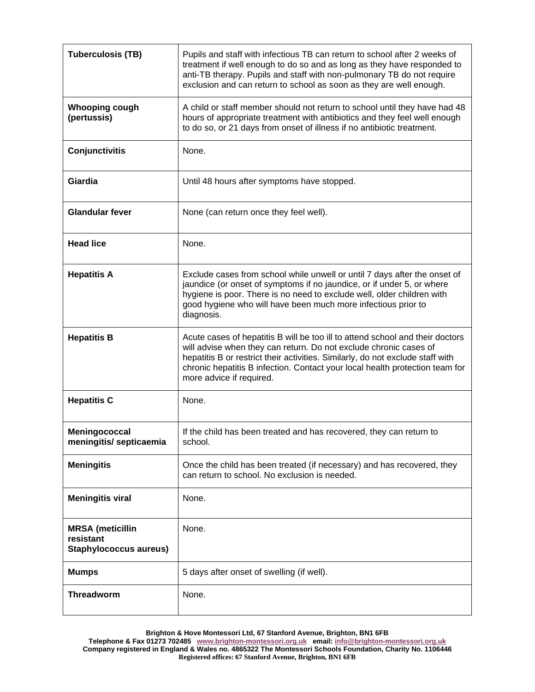| <b>Tuberculosis (TB)</b>                                              | Pupils and staff with infectious TB can return to school after 2 weeks of<br>treatment if well enough to do so and as long as they have responded to<br>anti-TB therapy. Pupils and staff with non-pulmonary TB do not require<br>exclusion and can return to school as soon as they are well enough.                                            |
|-----------------------------------------------------------------------|--------------------------------------------------------------------------------------------------------------------------------------------------------------------------------------------------------------------------------------------------------------------------------------------------------------------------------------------------|
| <b>Whooping cough</b><br>(pertussis)                                  | A child or staff member should not return to school until they have had 48<br>hours of appropriate treatment with antibiotics and they feel well enough<br>to do so, or 21 days from onset of illness if no antibiotic treatment.                                                                                                                |
| <b>Conjunctivitis</b>                                                 | None.                                                                                                                                                                                                                                                                                                                                            |
| Giardia                                                               | Until 48 hours after symptoms have stopped.                                                                                                                                                                                                                                                                                                      |
| <b>Glandular fever</b>                                                | None (can return once they feel well).                                                                                                                                                                                                                                                                                                           |
| <b>Head lice</b>                                                      | None.                                                                                                                                                                                                                                                                                                                                            |
| <b>Hepatitis A</b>                                                    | Exclude cases from school while unwell or until 7 days after the onset of<br>jaundice (or onset of symptoms if no jaundice, or if under 5, or where<br>hygiene is poor. There is no need to exclude well, older children with<br>good hygiene who will have been much more infectious prior to<br>diagnosis.                                     |
| <b>Hepatitis B</b>                                                    | Acute cases of hepatitis B will be too ill to attend school and their doctors<br>will advise when they can return. Do not exclude chronic cases of<br>hepatitis B or restrict their activities. Similarly, do not exclude staff with<br>chronic hepatitis B infection. Contact your local health protection team for<br>more advice if required. |
| <b>Hepatitis C</b>                                                    | None.                                                                                                                                                                                                                                                                                                                                            |
| Meningococcal<br>meningitis/ septicaemia                              | If the child has been treated and has recovered, they can return to<br>school.                                                                                                                                                                                                                                                                   |
| <b>Meningitis</b>                                                     | Once the child has been treated (if necessary) and has recovered, they<br>can return to school. No exclusion is needed.                                                                                                                                                                                                                          |
| <b>Meningitis viral</b>                                               | None.                                                                                                                                                                                                                                                                                                                                            |
| <b>MRSA</b> (meticillin<br>resistant<br><b>Staphylococcus aureus)</b> | None.                                                                                                                                                                                                                                                                                                                                            |
| <b>Mumps</b>                                                          | 5 days after onset of swelling (if well).                                                                                                                                                                                                                                                                                                        |
| <b>Threadworm</b>                                                     | None.                                                                                                                                                                                                                                                                                                                                            |